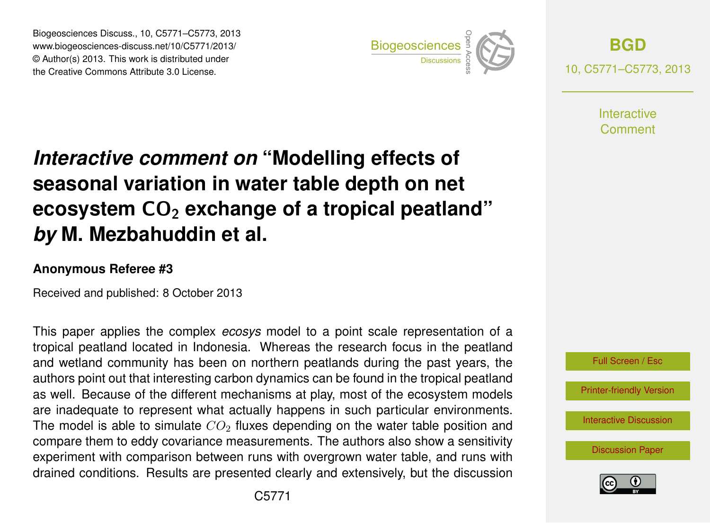Biogeosciences Discuss., 10, C5771–C5773, 2013 www.biogeosciences-discuss.net/10/C5771/2013/ www.biogeosciences-ulscuss.net/10/00771/2013/<br>© Author(s) 2013. This work is distributed under the Creative Commons Attribute 3.0 License.



**[BGD](http://www.biogeosciences-discuss.net)** 10, C5771–C5773, 2013

> **Interactive** Comment

## Earth System seasonal variation in water table depth on net  $\mathbf{a}$ Open Access Interactive comment on "Modelling effects of **ecosystem CO<sub>2</sub> exchange of a tropical peatland"**  $dim$  ot c *by* M. Mezbahuddin et al.  $\overline{a}$

## **Anonymous Referee #3**

Received and published: 8 October 2013

This paper applies the complex *ecosys* model to a point scale representation of a s<br>S ti<br>ti and wetland community has been on northern peatlands during the past years, the authors point out that interesting carbon dynamics can be found in the tropical peatland as well. Because of the different mechanisms at play, most of the ecosystem models າc<br>d<br>ນ อะ<br>p<br>า are inadequate to represent what actually happens in such particular environments. compare them to eddy covariance measurements. The authors also show a sensitivity e<br>;u اt<br>ت− experiment with comparison between runs with overgrown water table, and runs with tropical peatland located in Indonesia. Whereas the research focus in the peatland The model is able to simulate  $CO<sub>2</sub>$  fluxes depending on the water table position and drained conditions. Results are presented clearly and extensively, but the discussion



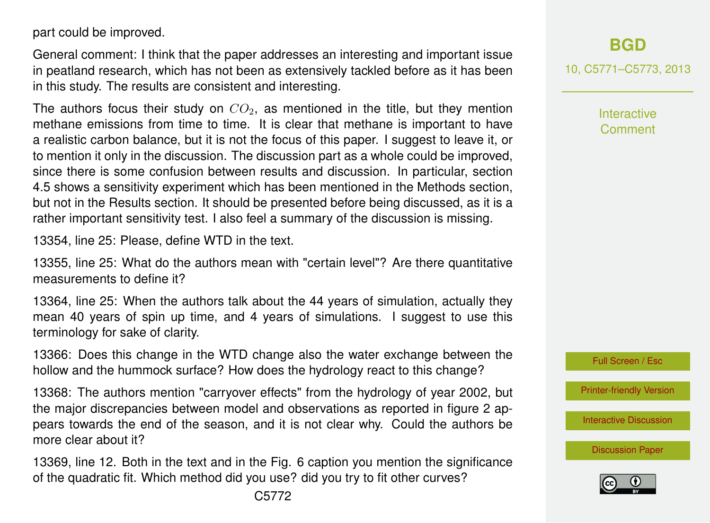part could be improved.

General comment: I think that the paper addresses an interesting and important issue in peatland research, which has not been as extensively tackled before as it has been in this study. The results are consistent and interesting.

The authors focus their study on  $CO<sub>2</sub>$ , as mentioned in the title, but they mention methane emissions from time to time. It is clear that methane is important to have a realistic carbon balance, but it is not the focus of this paper. I suggest to leave it, or to mention it only in the discussion. The discussion part as a whole could be improved, since there is some confusion between results and discussion. In particular, section 4.5 shows a sensitivity experiment which has been mentioned in the Methods section, but not in the Results section. It should be presented before being discussed, as it is a rather important sensitivity test. I also feel a summary of the discussion is missing.

13354, line 25: Please, define WTD in the text.

13355, line 25: What do the authors mean with "certain level"? Are there quantitative measurements to define it?

13364, line 25: When the authors talk about the 44 years of simulation, actually they mean 40 years of spin up time, and 4 years of simulations. I suggest to use this terminology for sake of clarity.

13366: Does this change in the WTD change also the water exchange between the hollow and the hummock surface? How does the hydrology react to this change?

13368: The authors mention "carryover effects" from the hydrology of year 2002, but the major discrepancies between model and observations as reported in figure 2 appears towards the end of the season, and it is not clear why. Could the authors be more clear about it?

13369, line 12. Both in the text and in the Fig. 6 caption you mention the significance of the quadratic fit. Which method did you use? did you try to fit other curves?

10, C5771–C5773, 2013

Interactive Comment



[Printer-friendly Version](http://www.biogeosciences-discuss.net/10/C5771/2013/bgd-10-C5771-2013-print.pdf)

[Interactive Discussion](http://www.biogeosciences-discuss.net/10/13353/2013/bgd-10-13353-2013-discussion.html)

[Discussion Paper](http://www.biogeosciences-discuss.net/10/13353/2013/bgd-10-13353-2013.pdf)